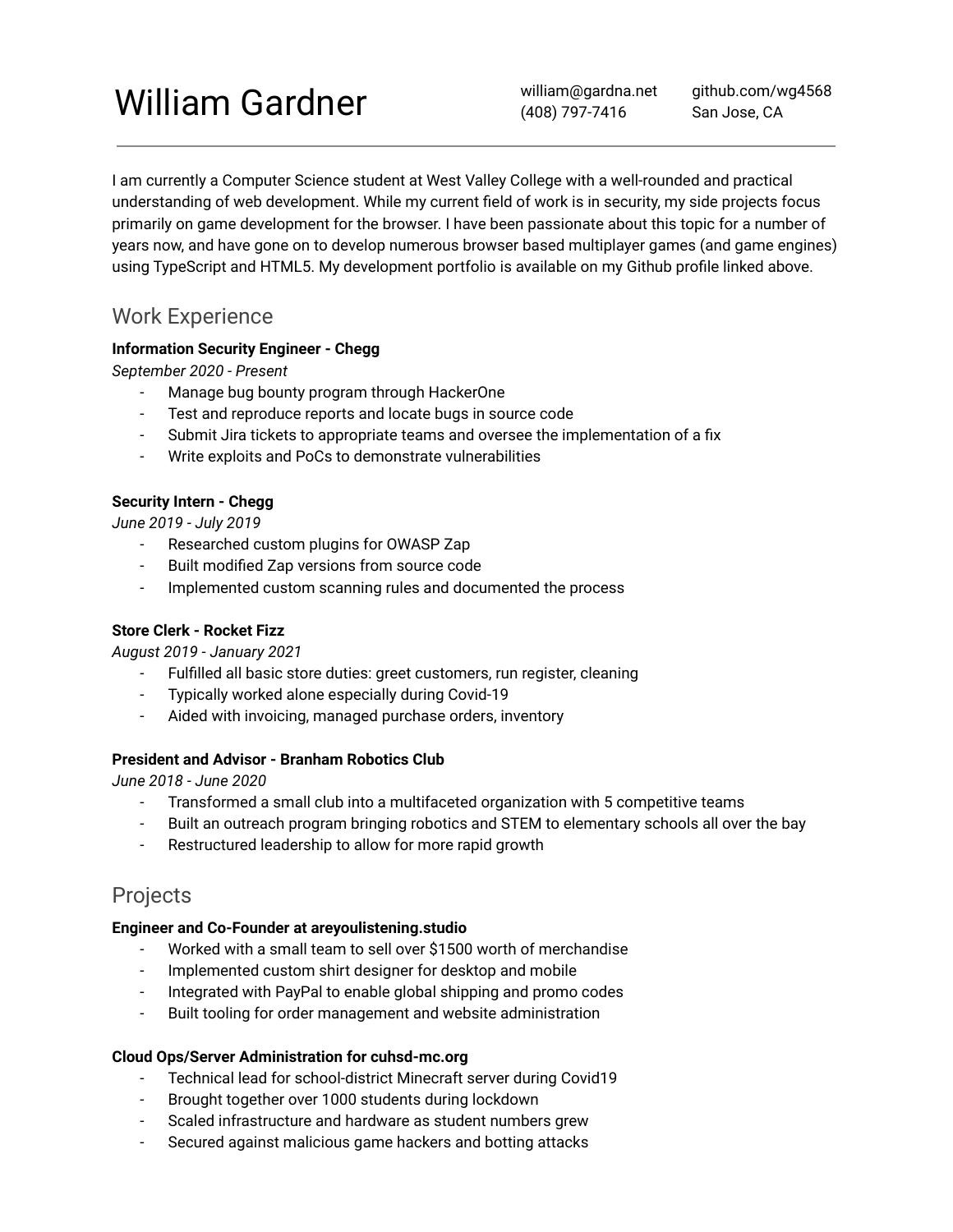# William Gardner

william@gardna.net (408) 797-7416

github.com/wg4568 San Jose, CA

I am currently a Computer Science student at West Valley College with a well-rounded and practical understanding of web development. While my current field of work is in security, my side projects focus primarily on game development for the browser. I have been passionate about this topic for a number of years now, and have gone on to develop numerous browser based multiplayer games (and game engines) using TypeScript and HTML5. My development portfolio is available on my Github profile linked above.

# Work Experience

#### **Information Security Engineer - Chegg**

*September 2020 - Present*

- Manage bug bounty program through HackerOne
- Test and reproduce reports and locate bugs in source code
- Submit Jira tickets to appropriate teams and oversee the implementation of a fix
- Write exploits and PoCs to demonstrate vulnerabilities

#### **Security Intern - Chegg**

*June 2019 - July 2019*

- Researched custom plugins for OWASP Zap
- Built modified Zap versions from source code
- Implemented custom scanning rules and documented the process

#### **Store Clerk - Rocket Fizz**

*August 2019 - January 2021*

- Fulfilled all basic store duties: greet customers, run register, cleaning
- Typically worked alone especially during Covid-19
- Aided with invoicing, managed purchase orders, inventory

#### **President and Advisor - Branham Robotics Club**

*June 2018 - June 2020*

- Transformed a small club into a multifaceted organization with 5 competitive teams
- Built an outreach program bringing robotics and STEM to elementary schools all over the bay
- Restructured leadership to allow for more rapid growth

# Projects

#### **Engineer and Co-Founder at areyoulistening.studio**

- Worked with a small team to sell over \$1500 worth of merchandise
- Implemented custom shirt designer for desktop and mobile
- Integrated with PayPal to enable global shipping and promo codes
- Built tooling for order management and website administration

#### **Cloud Ops/Server Administration for cuhsd-mc.org**

- Technical lead for school-district Minecraft server during Covid19
- Brought together over 1000 students during lockdown
- Scaled infrastructure and hardware as student numbers grew
- Secured against malicious game hackers and botting attacks